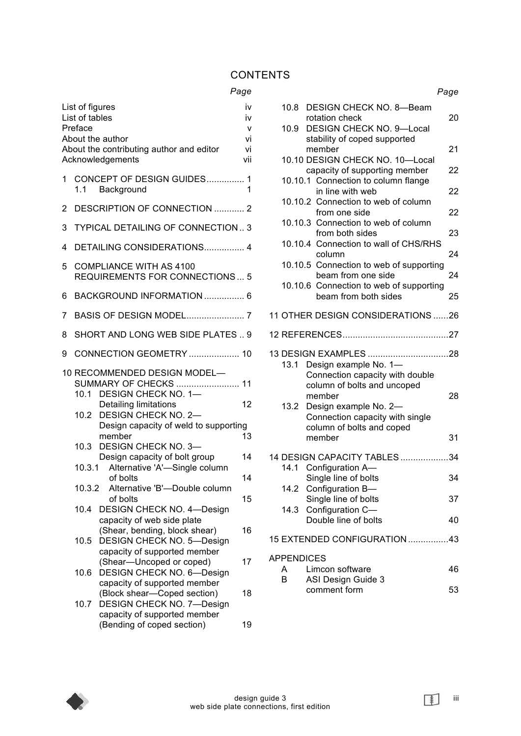### **CONTENTS**

#### *Page*

| List of figures<br>iv<br>List of tables<br>İ٧<br>Preface<br>$\mathsf{V}$ |        |                                                                                                                          |                 |  |
|--------------------------------------------------------------------------|--------|--------------------------------------------------------------------------------------------------------------------------|-----------------|--|
|                                                                          |        | About the author<br>About the contributing author and editor<br>Acknowledgements                                         | vi<br>vi<br>vii |  |
| 1                                                                        | 1.1    | CONCEPT OF DESIGN GUIDES 1<br>Background                                                                                 | 1               |  |
| 2                                                                        |        | DESCRIPTION OF CONNECTION  2                                                                                             |                 |  |
| 3                                                                        |        | TYPICAL DETAILING OF CONNECTION 3                                                                                        |                 |  |
| 4                                                                        |        | DETAILING CONSIDERATIONS 4                                                                                               |                 |  |
| 5                                                                        |        | <b>COMPLIANCE WITH AS 4100</b><br><b>REQUIREMENTS FOR CONNECTIONS 5</b>                                                  |                 |  |
| 6                                                                        |        | BACKGROUND INFORMATION  6                                                                                                |                 |  |
| 7                                                                        |        |                                                                                                                          |                 |  |
| 8                                                                        |        | SHORT AND LONG WEB SIDE PLATES  9                                                                                        |                 |  |
| 9                                                                        |        | CONNECTION GEOMETRY  10                                                                                                  |                 |  |
|                                                                          |        | 10 RECOMMENDED DESIGN MODEL-<br>SUMMARY OF CHECKS  11<br>10.1 DESIGN CHECK NO. 1-                                        |                 |  |
|                                                                          |        | Detailing limitations<br>10.2 DESIGN CHECK NO. 2-                                                                        | 12              |  |
|                                                                          |        | Design capacity of weld to supporting<br>member                                                                          | 13              |  |
|                                                                          | 10.3   | <b>DESIGN CHECK NO. 3-</b><br>Design capacity of bolt group                                                              | 14              |  |
|                                                                          | 10.3.1 | Alternative 'A'-Single column<br>of bolts                                                                                | 14              |  |
|                                                                          |        | 10.3.2 Alternative 'B'-Double column                                                                                     |                 |  |
|                                                                          | 10.4   | of bolts<br><b>DESIGN CHECK NO. 4-Design</b>                                                                             | 15              |  |
|                                                                          | 10.5   | capacity of web side plate<br>(Shear, bending, block shear)<br><b>DESIGN CHECK NO. 5-Design</b>                          | 16              |  |
|                                                                          | 10.6   | capacity of supported member<br>(Shear-Uncoped or coped)<br><b>DESIGN CHECK NO. 6-Design</b>                             | 17              |  |
|                                                                          | 10.7   | capacity of supported member<br>(Block shear-Coped section)<br>DESIGN CHECK NO. 7-Design<br>capacity of supported member | 18              |  |

(Bending of coped section) 19

|  |                             |                                                                                                                     | Page |
|--|-----------------------------|---------------------------------------------------------------------------------------------------------------------|------|
|  | 10.8<br>10.9 <sup>°</sup>   | <b>DESIGN CHECK NO. 8-Beam</b><br>rotation check<br><b>DESIGN CHECK NO. 9-Local</b><br>stability of coped supported | 20   |
|  |                             | member<br>10.10 DESIGN CHECK NO. 10-Local                                                                           | 21   |
|  |                             | capacity of supporting member                                                                                       | 22   |
|  |                             | 10.10.1 Connection to column flange<br>in line with web                                                             | 22   |
|  |                             | 10.10.2 Connection to web of column<br>from one side                                                                | 22   |
|  |                             | 10.10.3 Connection to web of column<br>from both sides<br>10.10.4 Connection to wall of CHS/RHS                     | 23   |
|  |                             | column                                                                                                              | 24   |
|  |                             | 10.10.5 Connection to web of supporting<br>beam from one side                                                       | 24   |
|  |                             | 10.10.6 Connection to web of supporting<br>beam from both sides                                                     | 25   |
|  |                             | 11 OTHER DESIGN CONSIDERATIONS 26                                                                                   |      |
|  |                             |                                                                                                                     |      |
|  | 13.1                        | 13 DESIGN EXAMPLES 28<br>Design example No. 1-<br>Connection capacity with double<br>column of bolts and uncoped    |      |
|  | 13.2                        | member<br>Design example No. 2-<br>Connection capacity with single<br>column of bolts and coped                     | 28   |
|  |                             | member                                                                                                              | 31   |
|  | 14.1                        | 14 DESIGN CAPACITY TABLES 34<br>Configuration A-                                                                    |      |
|  | 14.2                        | Single line of bolts<br>Configuration B-                                                                            | 34   |
|  |                             | Single line of bolts                                                                                                | 37   |
|  | 14.3                        | Configuration C-<br>Double line of bolts                                                                            | 40   |
|  |                             | 15 EXTENDED CONFIGURATION 43                                                                                        |      |
|  | <b>APPENDICES</b><br>A<br>В | Limcon software<br>ASI Design Guide 3                                                                               | 46   |

comment form 53



 $\boxed{\ast}$